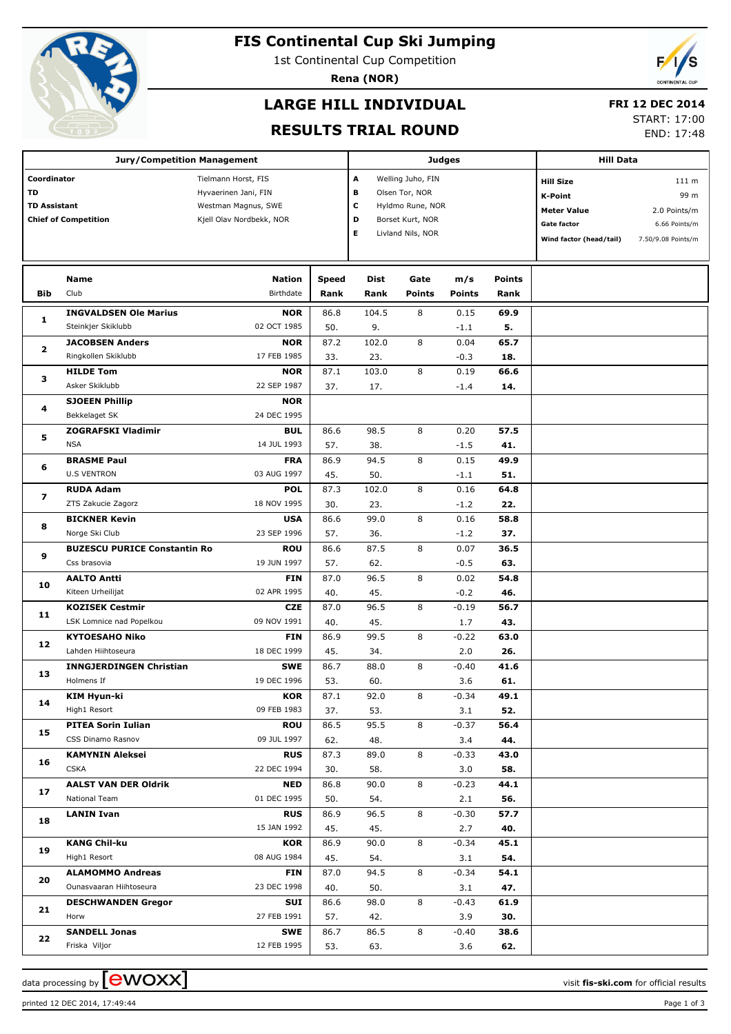

# **FIS Continental Cup Ski Jumping**

1st Continental Cup Competition

**Rena (NOR)**

# **LARGE HILL INDIVIDUAL**

### **FRI 12 DEC 2014**

#### **RESULTS TRIAL ROUND**

START: 17:00

END: 17:48

|                         | <b>Jury/Competition Management</b>  |                           |       |                   | <b>Judges</b>     | <b>Hill Data</b> |                    |                         |                    |  |
|-------------------------|-------------------------------------|---------------------------|-------|-------------------|-------------------|------------------|--------------------|-------------------------|--------------------|--|
|                         |                                     |                           |       |                   |                   |                  |                    |                         |                    |  |
| Coordinator             |                                     | Tielmann Horst, FIS       | A     | Welling Juho, FIN |                   |                  | <b>Hill Size</b>   | 111 m                   |                    |  |
| <b>TD</b>               |                                     | Hyvaerinen Jani, FIN      |       | в                 | Olsen Tor, NOR    |                  |                    | K-Point                 | 99 m               |  |
| <b>TD Assistant</b>     |                                     | Westman Magnus, SWE       | с     | Hyldmo Rune, NOR  |                   |                  | <b>Meter Value</b> | 2.0 Points/m            |                    |  |
|                         | <b>Chief of Competition</b>         | Kjell Olav Nordbekk, NOR  |       | D                 | Borset Kurt, NOR  |                  |                    | <b>Gate factor</b>      | 6.66 Points/m      |  |
|                         |                                     |                           |       | Е                 | Livland Nils, NOR |                  |                    | Wind factor (head/tail) | 7.50/9.08 Points/m |  |
|                         |                                     |                           |       |                   |                   |                  |                    |                         |                    |  |
|                         |                                     |                           |       |                   |                   |                  |                    |                         |                    |  |
|                         | Name                                | <b>Nation</b>             | Speed | Dist              | Gate              | m/s              | Points             |                         |                    |  |
| <b>Bib</b>              | Club                                | Birthdate                 | Rank  | Rank              | <b>Points</b>     | <b>Points</b>    | Rank               |                         |                    |  |
| 1                       | <b>INGVALDSEN Ole Marius</b>        | <b>NOR</b>                | 86.8  | 104.5             | 8                 | 0.15             | 69.9               |                         |                    |  |
|                         | Steinkjer Skiklubb                  | 02 OCT 1985               | 50.   | 9.                |                   | $-1.1$           | 5.                 |                         |                    |  |
| 2                       | <b>JACOBSEN Anders</b>              | <b>NOR</b>                | 87.2  | 102.0             | 8                 | 0.04             | 65.7               |                         |                    |  |
|                         | Ringkollen Skiklubb                 | 17 FEB 1985               | 33.   | 23.               |                   | $-0.3$           | 18.                |                         |                    |  |
|                         | <b>HILDE Tom</b>                    | <b>NOR</b>                | 87.1  | 103.0             | 8                 | 0.19             | 66.6               |                         |                    |  |
| з                       | Asker Skiklubb                      | 22 SEP 1987               | 37.   | 17.               |                   | $-1.4$           | 14.                |                         |                    |  |
|                         | <b>SJOEEN Phillip</b>               | <b>NOR</b>                |       |                   |                   |                  |                    |                         |                    |  |
| 4                       | Bekkelaget SK                       | 24 DEC 1995               |       |                   |                   |                  |                    |                         |                    |  |
| 5                       | <b>ZOGRAFSKI Vladimir</b>           | <b>BUL</b>                | 86.6  | 98.5              | 8                 | 0.20             | 57.5               |                         |                    |  |
|                         | <b>NSA</b>                          | 14 JUL 1993               | 57.   | 38.               |                   | $-1.5$           | 41.                |                         |                    |  |
|                         | <b>BRASME Paul</b>                  | <b>FRA</b>                | 86.9  | 94.5              | 8                 | 0.15             | 49.9               |                         |                    |  |
| 6                       | <b>U.S VENTRON</b>                  | 03 AUG 1997               | 45.   | 50.               |                   | $-1.1$           | 51.                |                         |                    |  |
|                         | <b>RUDA Adam</b>                    | <b>POL</b>                | 87.3  | 102.0             | 8                 | 0.16             | 64.8               |                         |                    |  |
| $\overline{\mathbf{z}}$ | ZTS Zakucie Zagorz                  | 18 NOV 1995               | 30.   | 23.               |                   | $-1.2$           | 22.                |                         |                    |  |
|                         | <b>BICKNER Kevin</b>                | <b>USA</b>                | 86.6  | 99.0              | 8                 | 0.16             | 58.8               |                         |                    |  |
| 8                       | Norge Ski Club                      | 23 SEP 1996               | 57.   | 36.               |                   | $-1.2$           | 37.                |                         |                    |  |
|                         | <b>BUZESCU PURICE Constantin Ro</b> | <b>ROU</b>                | 86.6  | 87.5              | 8                 | 0.07             | 36.5               |                         |                    |  |
| 9                       | Css brasovia                        | 19 JUN 1997               | 57.   | 62.               |                   | $-0.5$           | 63.                |                         |                    |  |
|                         | <b>AALTO Antti</b>                  | <b>FIN</b>                | 87.0  | 96.5              | 8                 | 0.02             | 54.8               |                         |                    |  |
| 10                      | Kiteen Urheilijat                   | 02 APR 1995               | 40.   | 45.               |                   | $-0.2$           | 46.                |                         |                    |  |
|                         | <b>KOZISEK Cestmir</b>              | <b>CZE</b>                | 87.0  | 96.5              | 8                 | $-0.19$          | 56.7               |                         |                    |  |
| 11                      | LSK Lomnice nad Popelkou            | 09 NOV 1991               | 40.   | 45.               |                   | 1.7              | 43.                |                         |                    |  |
|                         | <b>KYTOESAHO Niko</b>               | <b>FIN</b>                | 86.9  | 99.5              | 8                 | $-0.22$          | 63.0               |                         |                    |  |
| 12                      | Lahden Hiihtoseura                  | 18 DEC 1999               | 45.   | 34.               |                   | 2.0              | 26.                |                         |                    |  |
|                         | <b>INNGJERDINGEN Christian</b>      | <b>SWE</b>                | 86.7  | 88.0              | 8                 | $-0.40$          | 41.6               |                         |                    |  |
| 13                      | Holmens If                          | 19 DEC 1996               | 53.   | 60.               |                   | 3.6              | 61.                |                         |                    |  |
|                         | <b>KIM Hyun-ki</b>                  | KOR                       | 87.1  | 92.0              | 8                 | $-0.34$          | 49.1               |                         |                    |  |
| 14                      | High1 Resort                        | 09 FEB 1983               | 37.   | 53.               |                   | 3.1              | 52.                |                         |                    |  |
|                         | <b>PITEA Sorin Iulian</b>           | <b>ROU</b>                | 86.5  | 95.5              | 8                 | $-0.37$          | 56.4               |                         |                    |  |
| 15                      | CSS Dinamo Rasnov                   | 09 JUL 1997               | 62.   | 48.               |                   |                  | 44.                |                         |                    |  |
|                         | <b>KAMYNIN Aleksei</b>              | <b>RUS</b>                | 87.3  | 89.0              | 8                 | 3.4              | 43.0               |                         |                    |  |
| 16                      | <b>CSKA</b>                         | 22 DEC 1994               | 30.   | 58.               |                   | $-0.33$<br>3.0   | 58.                |                         |                    |  |
|                         | <b>AALST VAN DER Oldrik</b>         |                           |       |                   |                   |                  |                    |                         |                    |  |
| 17                      | National Team                       | <b>NED</b><br>01 DEC 1995 | 86.8  | 90.0              | 8                 | $-0.23$          | 44.1               |                         |                    |  |
|                         |                                     |                           | 50.   | 54.               |                   | 2.1              | 56.                |                         |                    |  |
| 18                      | <b>LANIN Ivan</b>                   | <b>RUS</b>                | 86.9  | 96.5              | 8                 | $-0.30$          | 57.7               |                         |                    |  |
|                         |                                     | 15 JAN 1992               | 45.   | 45.               |                   | 2.7              | 40.                |                         |                    |  |
| 19                      | <b>KANG Chil-ku</b>                 | KOR                       | 86.9  | 90.0              | 8                 | $-0.34$          | 45.1               |                         |                    |  |
|                         | High1 Resort                        | 08 AUG 1984               | 45.   | 54.               |                   | 3.1              | 54.                |                         |                    |  |
| 20                      | <b>ALAMOMMO Andreas</b>             | <b>FIN</b>                | 87.0  | 94.5              | 8                 | $-0.34$          | 54.1               |                         |                    |  |
|                         | Ounasvaaran Hiihtoseura             | 23 DEC 1998               | 40.   | 50.               |                   | 3.1              | 47.                |                         |                    |  |
| 21                      | <b>DESCHWANDEN Gregor</b>           | SUI                       | 86.6  | 98.0              | 8                 | $-0.43$          | 61.9               |                         |                    |  |
|                         | Horw                                | 27 FEB 1991               | 57.   | 42.               |                   | 3.9              | 30.                |                         |                    |  |
| 22                      | <b>SANDELL Jonas</b>                | <b>SWE</b>                | 86.7  | 86.5              | 8                 | $-0.40$          | 38.6               |                         |                    |  |
|                         | Friska Viljor                       | 12 FEB 1995               | 53.   | 63.               |                   | 3.6              | 62.                |                         |                    |  |

data processing by **CWOXX** and  $\overline{C}$  and  $\overline{C}$  and  $\overline{C}$  and  $\overline{C}$  and  $\overline{C}$  and  $\overline{C}$  and  $\overline{C}$  and  $\overline{C}$  and  $\overline{C}$  and  $\overline{C}$  and  $\overline{C}$  and  $\overline{C}$  and  $\overline{C}$  and  $\overline{C}$  and  $\overline{C}$ 

printed 12 DEC 2014, 17:49:44 Page 1 of 3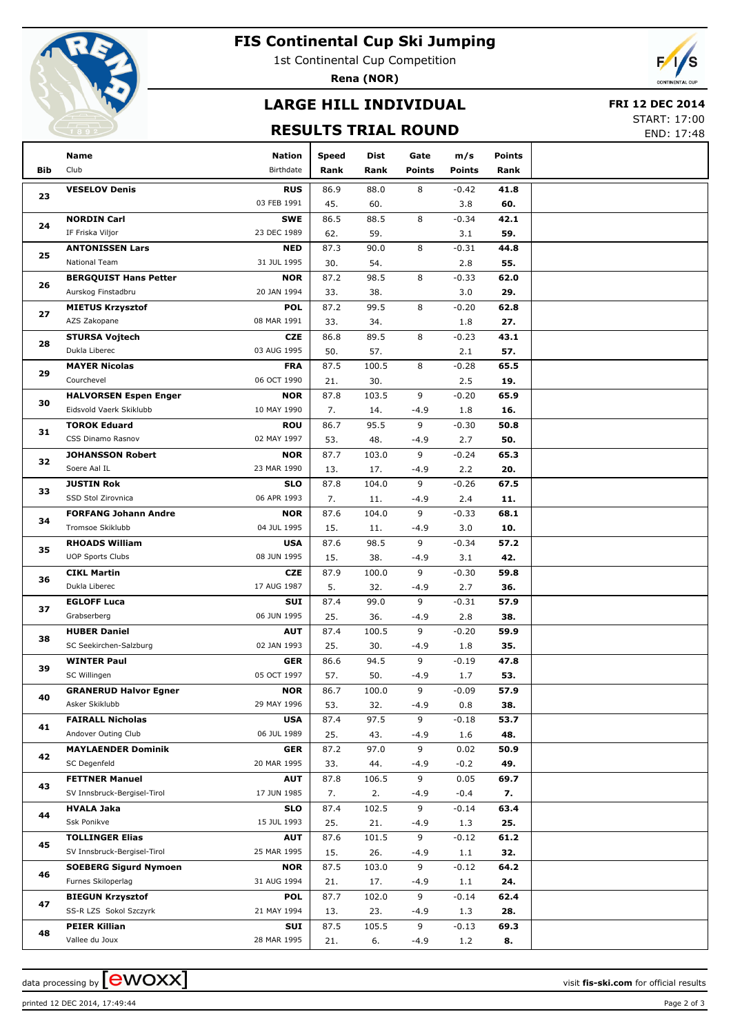

## **FIS Continental Cup Ski Jumping**

1st Continental Cup Competition

**Rena (NOR)**

# **LARGE HILL INDIVIDUAL**

#### **FRI 12 DEC 2014**

### **RESULTS TRIAL ROUND**

START: 17:00 END: 17:48

|            | Name                                              | <b>Nation</b>             | <b>Speed</b> | Dist         | Gate          | m/s            | <b>Points</b> |  |
|------------|---------------------------------------------------|---------------------------|--------------|--------------|---------------|----------------|---------------|--|
| <b>Bib</b> | Club                                              | Birthdate                 | Rank         | Rank         | <b>Points</b> | <b>Points</b>  | Rank          |  |
|            | <b>VESELOV Denis</b>                              | <b>RUS</b>                | 86.9         | 88.0         | 8             | $-0.42$        | 41.8          |  |
| 23         |                                                   | 03 FEB 1991               | 45.          | 60.          |               | 3.8            | 60.           |  |
|            | <b>NORDIN Carl</b>                                | <b>SWE</b>                | 86.5         | 88.5         | 8             | $-0.34$        | 42.1          |  |
| 24         | IF Friska Viljor                                  | 23 DEC 1989               | 62.          | 59.          |               | 3.1            | 59.           |  |
|            | <b>ANTONISSEN Lars</b>                            | <b>NED</b>                | 87.3         | 90.0         | 8             | $-0.31$        | 44.8          |  |
| 25         | National Team                                     | 31 JUL 1995               | 30.          | 54.          |               | 2.8            | 55.           |  |
| 26         | <b>BERGQUIST Hans Petter</b>                      | <b>NOR</b>                | 87.2         | 98.5         | 8             | $-0.33$        | 62.0          |  |
|            | Aurskog Finstadbru                                | 20 JAN 1994               | 33.          | 38.          |               | 3.0            | 29.           |  |
| 27         | <b>MIETUS Krzysztof</b>                           | <b>POL</b>                | 87.2         | 99.5         | 8             | $-0.20$        | 62.8          |  |
|            | AZS Zakopane                                      | 08 MAR 1991               | 33.          | 34.          |               | 1.8            | 27.           |  |
| 28         | <b>STURSA Vojtech</b>                             | <b>CZE</b>                | 86.8         | 89.5         | 8             | $-0.23$        | 43.1          |  |
|            | Dukla Liberec                                     | 03 AUG 1995               | 50.          | 57.          |               | 2.1            | 57.           |  |
| 29         | <b>MAYER Nicolas</b>                              | <b>FRA</b>                | 87.5         | 100.5        | 8             | $-0.28$        | 65.5          |  |
|            | Courchevel                                        | 06 OCT 1990               | 21.          | 30.          |               | 2.5            | 19.           |  |
| 30         | <b>HALVORSEN Espen Enger</b>                      | <b>NOR</b>                | 87.8         | 103.5        | 9             | $-0.20$        | 65.9          |  |
|            | Eidsvold Vaerk Skiklubb                           | 10 MAY 1990               | 7.           | 14.          | $-4.9$        | 1.8            | 16.           |  |
| 31         | <b>TOROK Eduard</b>                               | <b>ROU</b>                | 86.7         | 95.5         | 9             | $-0.30$        | 50.8          |  |
|            | CSS Dinamo Rasnov                                 | 02 MAY 1997               | 53.          | 48.          | $-4.9$        | 2.7            | 50.           |  |
| 32         | <b>JOHANSSON Robert</b>                           | <b>NOR</b>                | 87.7         | 103.0        | 9             | $-0.24$        | 65.3          |  |
|            | Soere Aal IL                                      | 23 MAR 1990               | 13.          | 17.          | $-4.9$        | 2.2            | 20.           |  |
| 33         | <b>JUSTIN Rok</b><br>SSD Stol Zirovnica           | <b>SLO</b><br>06 APR 1993 | 87.8         | 104.0        | 9             | $-0.26$        | 67.5          |  |
|            |                                                   |                           | 7.           | 11.<br>104.0 | $-4.9$<br>9   | 2.4            | 11.           |  |
| 34         | <b>FORFANG Johann Andre</b><br>Tromsoe Skiklubb   | <b>NOR</b><br>04 JUL 1995 | 87.6<br>15.  | 11.          | $-4.9$        | $-0.33$<br>3.0 | 68.1<br>10.   |  |
| 35         | <b>RHOADS William</b>                             | <b>USA</b>                | 87.6         | 98.5         | 9             | $-0.34$        | 57.2          |  |
|            | <b>UOP Sports Clubs</b>                           | 08 JUN 1995               | 15.          | 38.          | $-4.9$        | 3.1            | 42.           |  |
|            | <b>CIKL Martin</b>                                | <b>CZE</b>                | 87.9         | 100.0        | 9             | $-0.30$        | 59.8          |  |
| 36         | Dukla Liberec                                     | 17 AUG 1987               | 5.           | 32.          | $-4.9$        | 2.7            | 36.           |  |
|            | <b>EGLOFF Luca</b>                                | SUI                       | 87.4         | 99.0         | 9             | $-0.31$        | 57.9          |  |
| 37         | Grabserberg                                       | 06 JUN 1995               | 25.          | 36.          | $-4.9$        | 2.8            | 38.           |  |
|            | <b>HUBER Daniel</b>                               | <b>AUT</b>                | 87.4         | 100.5        | 9             | $-0.20$        | 59.9          |  |
| 38         | SC Seekirchen-Salzburg                            | 02 JAN 1993               | 25.          | 30.          | $-4.9$        | 1.8            | 35.           |  |
|            | <b>WINTER Paul</b>                                | <b>GER</b>                | 86.6         | 94.5         | 9             | $-0.19$        | 47.8          |  |
| 39         | SC Willingen                                      | 05 OCT 1997               | 57.          | 50.          | $-4.9$        | 1.7            | 53.           |  |
|            | <b>GRANERUD Halvor Egner</b>                      | <b>NOR</b>                | 86.7         | 100.0        | 9             | $-0.09$        | 57.9          |  |
| 40         | Asker Skiklubb                                    | 29 MAY 1996               | 53.          | 32.          | $-4.9$        | 0.8            | 38.           |  |
| 41         | <b>FAIRALL Nicholas</b>                           | <b>USA</b>                | 87.4         | 97.5         | 9             | $-0.18$        | 53.7          |  |
|            | Andover Outing Club                               | 06 JUL 1989               | 25.          | 43.          | $-4.9$        | 1.6            | 48.           |  |
| 42         | <b>MAYLAENDER Dominik</b>                         | <b>GER</b>                | 87.2         | 97.0         | 9             | 0.02           | 50.9          |  |
|            | SC Degenfeld                                      | 20 MAR 1995               | 33.          | 44.          | $-4.9$        | $-0.2$         | 49.           |  |
| 43         | <b>FETTNER Manuel</b>                             | <b>AUT</b>                | 87.8         | 106.5        | 9             | 0.05           | 69.7          |  |
|            | SV Innsbruck-Bergisel-Tirol                       | 17 JUN 1985               | 7.           | 2.           | $-4.9$        | $-0.4$         | 7.            |  |
| 44         | <b>HVALA Jaka</b>                                 | <b>SLO</b>                | 87.4         | 102.5        | 9             | $-0.14$        | 63.4          |  |
|            | Ssk Ponikve                                       | 15 JUL 1993               | 25.          | 21.          | $-4.9$        | 1.3            | 25.           |  |
| 45         | <b>TOLLINGER Elias</b>                            | <b>AUT</b>                | 87.6         | 101.5        | 9             | $-0.12$        | 61.2          |  |
|            | SV Innsbruck-Bergisel-Tirol                       | 25 MAR 1995               | 15.          | 26.          | $-4.9$        | 1.1            | 32.           |  |
| 46         | <b>SOEBERG Sigurd Nymoen</b>                      | <b>NOR</b>                | 87.5         | 103.0        | 9             | $-0.12$        | 64.2          |  |
|            | Furnes Skiloperlag                                | 31 AUG 1994               | 21.          | 17.          | $-4.9$        | 1.1            | 24.           |  |
| 47         | <b>BIEGUN Krzysztof</b><br>SS-R LZS Sokol Szczyrk | <b>POL</b><br>21 MAY 1994 | 87.7         | 102.0        | 9             | $-0.14$        | 62.4          |  |
|            | <b>PEIER Killian</b>                              | SUI                       | 13.<br>87.5  | 23.<br>105.5 | $-4.9$<br>9   | 1.3<br>$-0.13$ | 28.<br>69.3   |  |
| 48         | Vallee du Joux                                    | 28 MAR 1995               | 21.          | 6.           | $-4.9$        | 1.2            | 8.            |  |
|            |                                                   |                           |              |              |               |                |               |  |

printed 12 DEC 2014, 17:49:44 Page 2 of 3

data processing by  $\boxed{\text{ewOX}}$